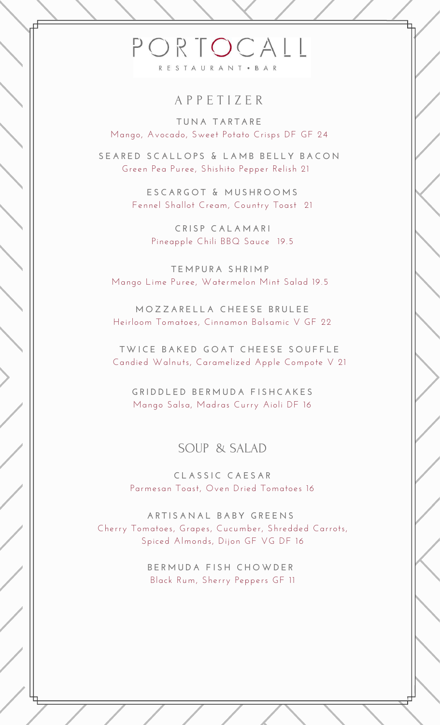# PORTOCALL RESTAURANT . BAR

### A P P E T I Z E R

**T U N A T A R T A R E** Mango, Avocado, Sweet Potato Crisps DF GF 24

SEARED SCALLOPS & LAMB BELLY BACON Green Pea Puree, Shishito Pepper Relish 21

> **E S C A R G O T & M U S H R O O M S** Fennel Shallot Cream, Country Toast 21

> > **C R I S P C A L A M A R I** Pineapple Chili BBQ Sauce 19.5

**T E M P U R A S H R I M P** Mango Lime Puree, Watermelon Mint Salad 19.5

**M O Z Z A R E L L A C H E E S E B R U L E E** Heirloom Tomatoes, Cinnamon Balsamic V GF 22

TWICE BAKED GOAT CHEESE SOUFFLE Candied Walnuts, Caramelized Apple Compote V 21

**G R I D D L E D B E R M U D A F I S H C A K E S** Mango Salsa, Madras Curry Aioli DF 16

#### SOUP & SALAD

**C L A S S I C C A E S A R** Parmesan Toast, Oven Dried Tomatoes 16

**A R T I S A N A L B A B Y G R E E N S** Cherry Tomatoes, Grapes, Cucumber, Shredded Carrots, Spiced Almonds, Dijon GF VG DF 16

> **B E R M U D A F I S H C H O W D E R** Black Rum, Sherry Peppers GF 11